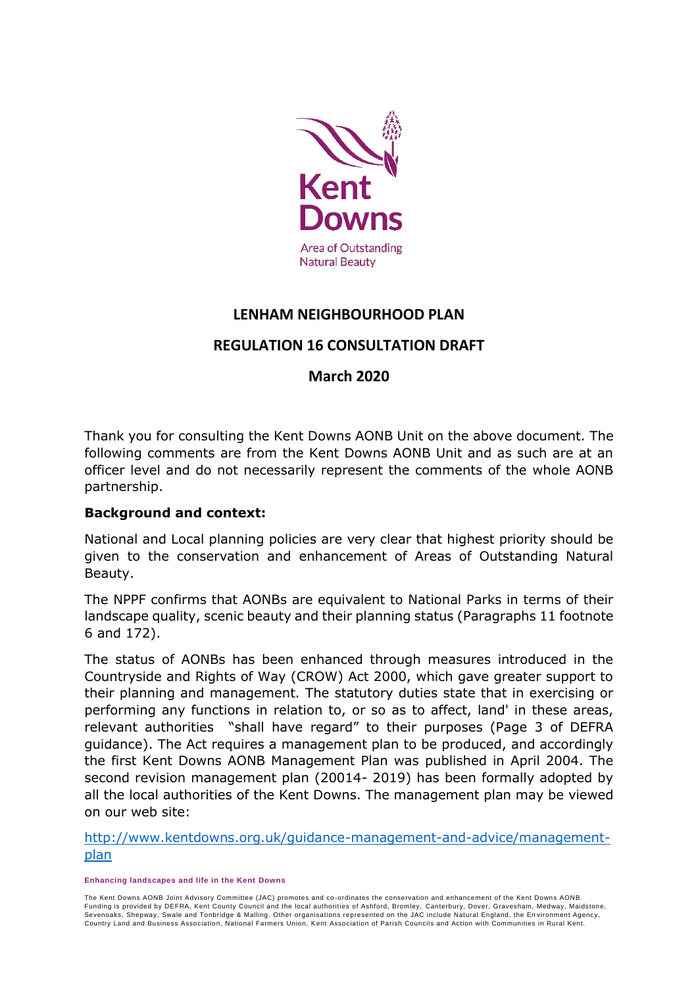

# **LENHAM NEIGHBOURHOOD PLAN**

# **REGULATION 16 CONSULTATION DRAFT**

### **March 2020**

Thank you for consulting the Kent Downs AONB Unit on the above document. The following comments are from the Kent Downs AONB Unit and as such are at an officer level and do not necessarily represent the comments of the whole AONB partnership.

#### **Background and context:**

National and Local planning policies are very clear that highest priority should be given to the conservation and enhancement of Areas of Outstanding Natural Beauty.

The NPPF confirms that AONBs are equivalent to National Parks in terms of their landscape quality, scenic beauty and their planning status (Paragraphs 11 footnote 6 and 172).

The status of AONBs has been enhanced through measures introduced in the Countryside and Rights of Way (CROW) Act 2000, which gave greater support to their planning and management. The statutory duties state that in exercising or performing any functions in relation to, or so as to affect, land' in these areas, relevant authorities "shall have regard" to their purposes (Page 3 of DEFRA guidance). The Act requires a management plan to be produced, and accordingly the first Kent Downs AONB Management Plan was published in April 2004. The second revision management plan (20014- 2019) has been formally adopted by all the local authorities of the Kent Downs. The management plan may be viewed on our web site:

[http://www.kentdowns.org.uk/guidance-management-and-advice/management](http://www.kentdowns.org.uk/guidance-management-and-advice/management-plan)[plan](http://www.kentdowns.org.uk/guidance-management-and-advice/management-plan)

**Enhancing landscapes and life in the Kent Downs**

The Kent Downs AONB Joint Advisory Committee (JAC) promotes and co -ordinates the conservation and enhancement of the Kent Downs AONB. Funding is provided by DEFRA, Kent County Council and the local authorities of Ashford, Bromley, Canterbury, Dover, Gravesham, Medway, Maidstone, Sevenoaks, Shepway, Swale and Tonbridge & Malling. Other organisations represented on the JAC include Natural England, the En vironment Agency, Country Land and Business Association, National Farmers Union, Kent Association of Parish Councils and Action with Communities in Rural Kent.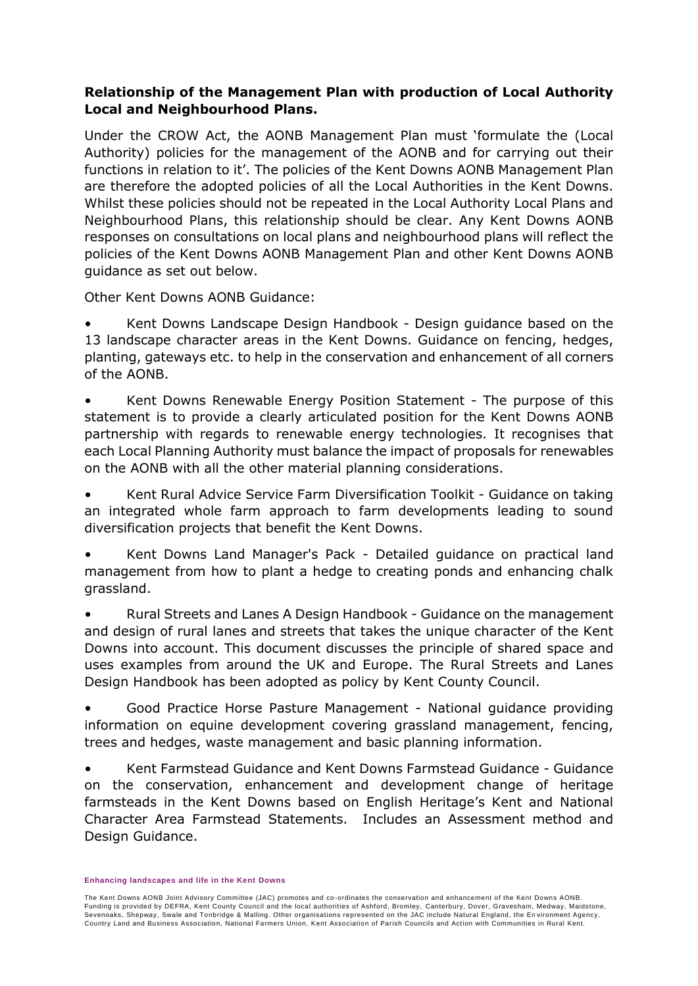#### **Relationship of the Management Plan with production of Local Authority Local and Neighbourhood Plans.**

Under the CROW Act, the AONB Management Plan must 'formulate the (Local Authority) policies for the management of the AONB and for carrying out their functions in relation to it'. The policies of the Kent Downs AONB Management Plan are therefore the adopted policies of all the Local Authorities in the Kent Downs. Whilst these policies should not be repeated in the Local Authority Local Plans and Neighbourhood Plans, this relationship should be clear. Any Kent Downs AONB responses on consultations on local plans and neighbourhood plans will reflect the policies of the Kent Downs AONB Management Plan and other Kent Downs AONB guidance as set out below.

Other Kent Downs AONB Guidance:

• Kent Downs Landscape Design Handbook - Design guidance based on the 13 landscape character areas in the Kent Downs. Guidance on fencing, hedges, planting, gateways etc. to help in the conservation and enhancement of all corners of the AONB.

• Kent Downs Renewable Energy Position Statement - The purpose of this statement is to provide a clearly articulated position for the Kent Downs AONB partnership with regards to renewable energy technologies. It recognises that each Local Planning Authority must balance the impact of proposals for renewables on the AONB with all the other material planning considerations.

• Kent Rural Advice Service Farm Diversification Toolkit - Guidance on taking an integrated whole farm approach to farm developments leading to sound diversification projects that benefit the Kent Downs.

• Kent Downs Land Manager's Pack - Detailed guidance on practical land management from how to plant a hedge to creating ponds and enhancing chalk grassland.

• Rural Streets and Lanes A Design Handbook - Guidance on the management and design of rural lanes and streets that takes the unique character of the Kent Downs into account. This document discusses the principle of shared space and uses examples from around the UK and Europe. The Rural Streets and Lanes Design Handbook has been adopted as policy by Kent County Council.

• Good Practice Horse Pasture Management - National guidance providing information on equine development covering grassland management, fencing, trees and hedges, waste management and basic planning information.

• Kent Farmstead Guidance and Kent Downs Farmstead Guidance - Guidance on the conservation, enhancement and development change of heritage farmsteads in the Kent Downs based on English Heritage's Kent and National Character Area Farmstead Statements. Includes an Assessment method and Design Guidance.

**Enhancing landscapes and life in the Kent Downs**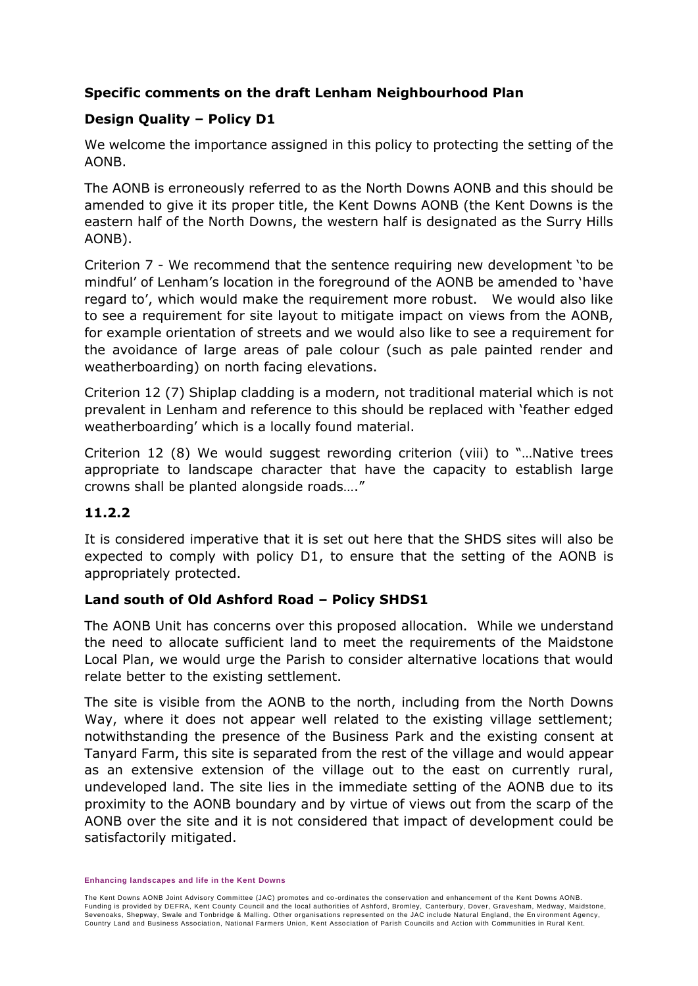### **Specific comments on the draft Lenham Neighbourhood Plan**

## **Design Quality – Policy D1**

We welcome the importance assigned in this policy to protecting the setting of the AONB.

The AONB is erroneously referred to as the North Downs AONB and this should be amended to give it its proper title, the Kent Downs AONB (the Kent Downs is the eastern half of the North Downs, the western half is designated as the Surry Hills AONB).

Criterion 7 - We recommend that the sentence requiring new development 'to be mindful' of Lenham's location in the foreground of the AONB be amended to 'have regard to', which would make the requirement more robust. We would also like to see a requirement for site layout to mitigate impact on views from the AONB, for example orientation of streets and we would also like to see a requirement for the avoidance of large areas of pale colour (such as pale painted render and weatherboarding) on north facing elevations.

Criterion 12 (7) Shiplap cladding is a modern, not traditional material which is not prevalent in Lenham and reference to this should be replaced with 'feather edged weatherboarding' which is a locally found material.

Criterion 12 (8) We would suggest rewording criterion (viii) to "…Native trees appropriate to landscape character that have the capacity to establish large crowns shall be planted alongside roads…."

### **11.2.2**

It is considered imperative that it is set out here that the SHDS sites will also be expected to comply with policy D1, to ensure that the setting of the AONB is appropriately protected.

### **Land south of Old Ashford Road – Policy SHDS1**

The AONB Unit has concerns over this proposed allocation. While we understand the need to allocate sufficient land to meet the requirements of the Maidstone Local Plan, we would urge the Parish to consider alternative locations that would relate better to the existing settlement.

The site is visible from the AONB to the north, including from the North Downs Way, where it does not appear well related to the existing village settlement; notwithstanding the presence of the Business Park and the existing consent at Tanyard Farm, this site is separated from the rest of the village and would appear as an extensive extension of the village out to the east on currently rural, undeveloped land. The site lies in the immediate setting of the AONB due to its proximity to the AONB boundary and by virtue of views out from the scarp of the AONB over the site and it is not considered that impact of development could be satisfactorily mitigated.

**Enhancing landscapes and life in the Kent Downs**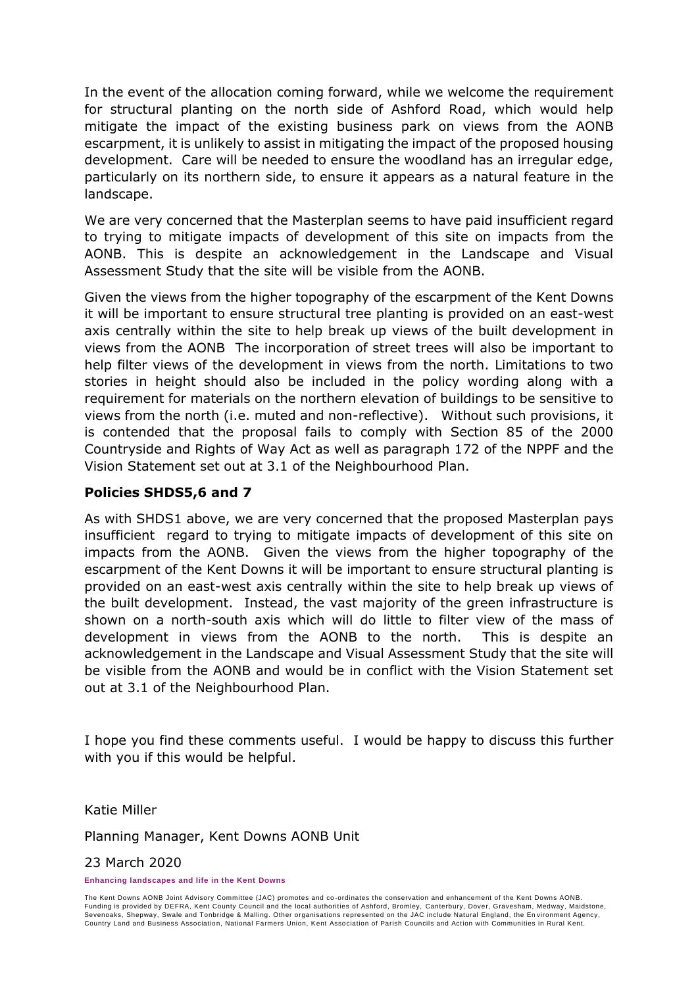In the event of the allocation coming forward, while we welcome the requirement for structural planting on the north side of Ashford Road, which would help mitigate the impact of the existing business park on views from the AONB escarpment, it is unlikely to assist in mitigating the impact of the proposed housing development. Care will be needed to ensure the woodland has an irregular edge, particularly on its northern side, to ensure it appears as a natural feature in the landscape.

We are very concerned that the Masterplan seems to have paid insufficient regard to trying to mitigate impacts of development of this site on impacts from the AONB. This is despite an acknowledgement in the Landscape and Visual Assessment Study that the site will be visible from the AONB.

Given the views from the higher topography of the escarpment of the Kent Downs it will be important to ensure structural tree planting is provided on an east-west axis centrally within the site to help break up views of the built development in views from the AONB The incorporation of street trees will also be important to help filter views of the development in views from the north. Limitations to two stories in height should also be included in the policy wording along with a requirement for materials on the northern elevation of buildings to be sensitive to views from the north (i.e. muted and non-reflective). Without such provisions, it is contended that the proposal fails to comply with Section 85 of the 2000 Countryside and Rights of Way Act as well as paragraph 172 of the NPPF and the Vision Statement set out at 3.1 of the Neighbourhood Plan.

#### **Policies SHDS5,6 and 7**

As with SHDS1 above, we are very concerned that the proposed Masterplan pays insufficient regard to trying to mitigate impacts of development of this site on impacts from the AONB. Given the views from the higher topography of the escarpment of the Kent Downs it will be important to ensure structural planting is provided on an east-west axis centrally within the site to help break up views of the built development. Instead, the vast majority of the green infrastructure is shown on a north-south axis which will do little to filter view of the mass of development in views from the AONB to the north. This is despite an acknowledgement in the Landscape and Visual Assessment Study that the site will be visible from the AONB and would be in conflict with the Vision Statement set out at 3.1 of the Neighbourhood Plan.

I hope you find these comments useful. I would be happy to discuss this further with you if this would be helpful.

Katie Miller

Planning Manager, Kent Downs AONB Unit

#### 23 March 2020

**Enhancing landscapes and life in the Kent Downs**

The Kent Downs AONB Joint Advisory Committee (JAC) promotes and co -ordinates the conservation and enhancement of the Kent Downs AONB. Funding is provided by DEFRA, Kent County Council and the local authorities of Ashford, Bromley, Canterbury, Dover, Gravesham, Medway, Maidstone, Sevenoaks, Shepway, Swale and Tonbridge & Malling. Other organisations represented on the JAC include Natural England, the En vironment Agency, Country Land and Business Association, National Farmers Union, Kent Association of Parish Councils and Action with Communities in Rural Kent.